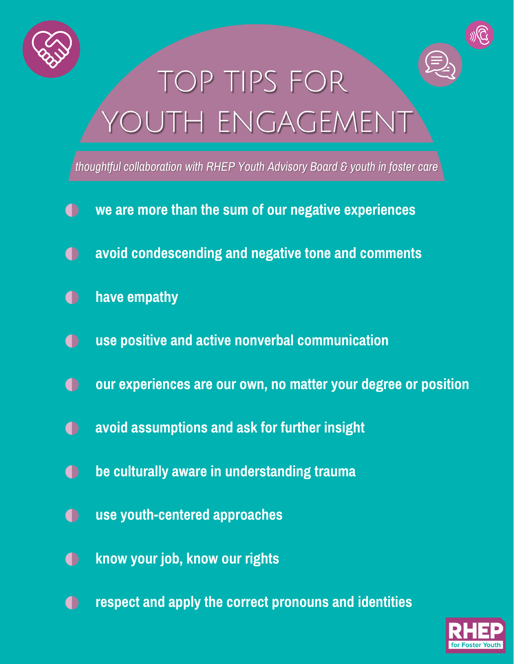



# TOP TIPS FOR OUTH ENGAGEMENT

*thoughtful collaboration with RHEP Youth Advisory Board & youth in foster care*

- **we are more than the sum of our negative experiences**  $\Box$
- **avoid condescending and negative tone and comments**  $\bullet$
- **have empathy**  $\Box$
- **use positive and active nonverbal communication**  $\bigcap$
- **our experiences are our own, no matter your degree or position**  $\bigcap$
- **avoid assumptions and ask for further insight**  $\bigcap$
- **be culturally aware in understanding trauma**  $\bigcap$
- **use youth-centered approaches**  $\bigcap$
- **know your job, know our rights**  $\bigcap$
- **respect and apply the correct pronouns and identities**  $\bigcap$

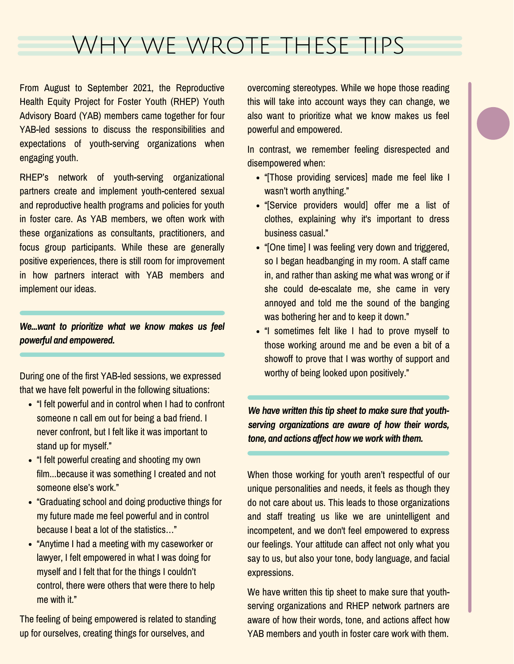### Why we wrote these tips

From August to September 2021, the Reproductive Health Equity Project for Foster Youth (RHEP) Youth Advisory Board (YAB) members came together for four YAB-led sessions to discuss the responsibilities and expectations of youth-serving organizations when engaging youth.

RHEP's network of youth-serving organizational partners create and implement youth-centered sexual and reproductive health programs and policies for youth in foster care. As YAB members, we often work with these organizations as consultants, practitioners, and focus group participants. While these are generally positive experiences, there is still room for improvement in how partners interact with YAB members and implement our ideas.

*We...want to prioritize what we know makes us feel powerful and empowered.*

During one of the first YAB-led sessions, we expressed that we have felt powerful in the following situations:

- "I felt powerful and in control when I had to confront someone n call em out for being a bad friend. I never confront, but I felt like it was important to stand up for myself."
- "I felt powerful creating and shooting my own film...because it was something I created and not someone else's work."
- "Graduating school and doing productive things for my future made me feel powerful and in control because I beat a lot of the statistics…"
- "Anytime I had a meeting with my caseworker or lawyer, I felt empowered in what I was doing for myself and I felt that for the things I couldn't control, there were others that were there to help me with it."

The feeling of being empowered is related to standing up for ourselves, creating things for ourselves, and

overcoming stereotypes. While we hope those reading this will take into account ways they can change, we also want to prioritize what we know makes us feel powerful and empowered.

In contrast, we remember feeling disrespected and disempowered when:

- . "Those providing services] made me feel like I wasn't worth anything."
- "[Service providers would] offer me a list of clothes, explaining why it's important to dress business casual."
- . "[One time] I was feeling very down and triggered, so I began headbanging in my room. A staff came in, and rather than asking me what was wrong or if she could de-escalate me, she came in very annoyed and told me the sound of the banging was bothering her and to keep it down."
- "I sometimes felt like I had to prove myself to those working around me and be even a bit of a showoff to prove that I was worthy of support and worthy of being looked upon positively."

*We have written this tip sheet to make sure that youthserving organizations are aware of how their words, tone, and actions affect how we work with them.*

When those working for youth aren't respectful of our unique personalities and needs, it feels as though they do not care about us. This leads to those organizations and staff treating us like we are unintelligent and incompetent, and we don't feel empowered to express our feelings. Your attitude can affect not only what you say to us, but also your tone, body language, and facial expressions.

We have written this tip sheet to make sure that youthserving organizations and RHEP network partners are aware of how their words, tone, and actions affect how YAB members and youth in foster care work with them.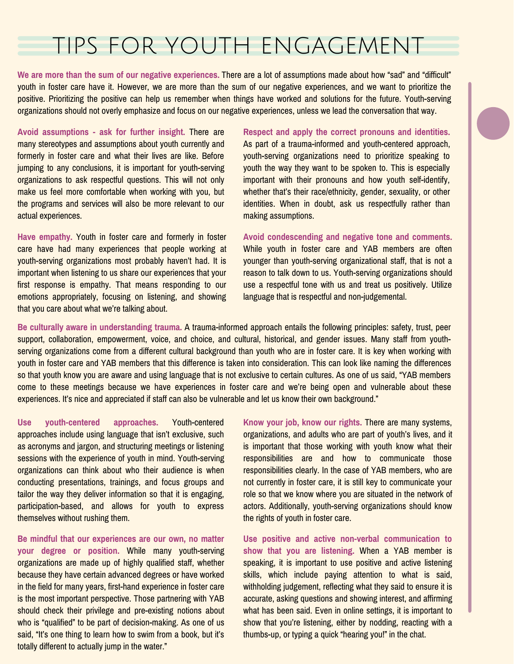#### tips for youth engagement

**We are more than the sum of our negative experiences.** There are a lot of assumptions made about how "sad" and "difficult" youth in foster care have it. However, we are more than the sum of our negative experiences, and we want to prioritize the positive. Prioritizing the positive can help us remember when things have worked and solutions for the future. Youth-serving organizations should not overly emphasize and focus on our negative experiences, unless we lead the conversation that way.

**Avoid assumptions - ask for further insight.** There are many stereotypes and assumptions about youth currently and formerly in foster care and what their lives are like. Before jumping to any conclusions, it is important for youth-serving organizations to ask respectful questions. This will not only make us feel more comfortable when working with you, but the programs and services will also be more relevant to our actual experiences.

**Have empathy.** Youth in foster care and formerly in foster care have had many experiences that people working at youth-serving organizations most probably haven't had. It is important when listening to us share our experiences that your first response is empathy. That means responding to our emotions appropriately, focusing on listening, and showing that you care about what we're talking about.

**Respect and apply the correct pronouns and identities.** As part of a trauma-informed and youth-centered approach, youth-serving organizations need to prioritize speaking to youth the way they want to be spoken to. This is especially important with their pronouns and how youth self-identify, whether that's their race/ethnicity, gender, sexuality, or other identities. When in doubt, ask us respectfully rather than making assumptions.

**Avoid condescending and negative tone and comments.** While youth in foster care and YAB members are often younger than youth-serving organizational staff, that is not a reason to talk down to us. Youth-serving organizations should use a respectful tone with us and treat us positively. Utilize language that is respectful and non-judgemental.

**Be culturally aware in understanding trauma.** A trauma-informed approach entails the following principles: safety, trust, peer support, collaboration, empowerment, voice, and choice, and cultural, historical, and gender issues. Many staff from youthserving organizations come from a different cultural background than youth who are in foster care. It is key when working with youth in foster care and YAB members that this difference is taken into consideration. This can look like naming the differences so that youth know you are aware and using language that is not exclusive to certain cultures. As one of us said, "YAB members come to these meetings because we have experiences in foster care and we're being open and vulnerable about these experiences. It's nice and appreciated if staff can also be vulnerable and let us know their own background."

**Use youth-centered approaches.** Youth-centered approaches include using language that isn't exclusive, such as acronyms and jargon, and structuring meetings or listening sessions with the experience of youth in mind. Youth-serving organizations can think about who their audience is when conducting presentations, trainings, and focus groups and tailor the way they deliver information so that it is engaging, participation-based, and allows for youth to express themselves without rushing them.

**Be mindful that our experiences are our own, no matter your degree or position.** While many youth-serving organizations are made up of highly qualified staff, whether because they have certain advanced degrees or have worked in the field for many years, first-hand experience in foster care is the most important perspective. Those partnering with YAB should check their privilege and pre-existing notions about who is "qualified" to be part of decision-making. As one of us said, "It's one thing to learn how to swim from a book, but it's totally different to actually jump in the water."

**Know your job, know our rights.** There are many systems, organizations, and adults who are part of youth's lives, and it is important that those working with youth know what their responsibilities are and how to communicate those responsibilities clearly. In the case of YAB members, who are not currently in foster care, it is still key to communicate your role so that we know where you are situated in the network of actors. Additionally, youth-serving organizations should know the rights of youth in foster care.

**Use positive and active non-verbal communication to show that you are listening.** When a YAB member is speaking, it is important to use positive and active listening skills, which include paying attention to what is said, withholding judgement, reflecting what they said to ensure it is accurate, asking questions and showing interest, and affirming what has been said. Even in online settings, it is important to show that you're listening, either by nodding, reacting with a thumbs-up, or typing a quick "hearing you!" in the chat.